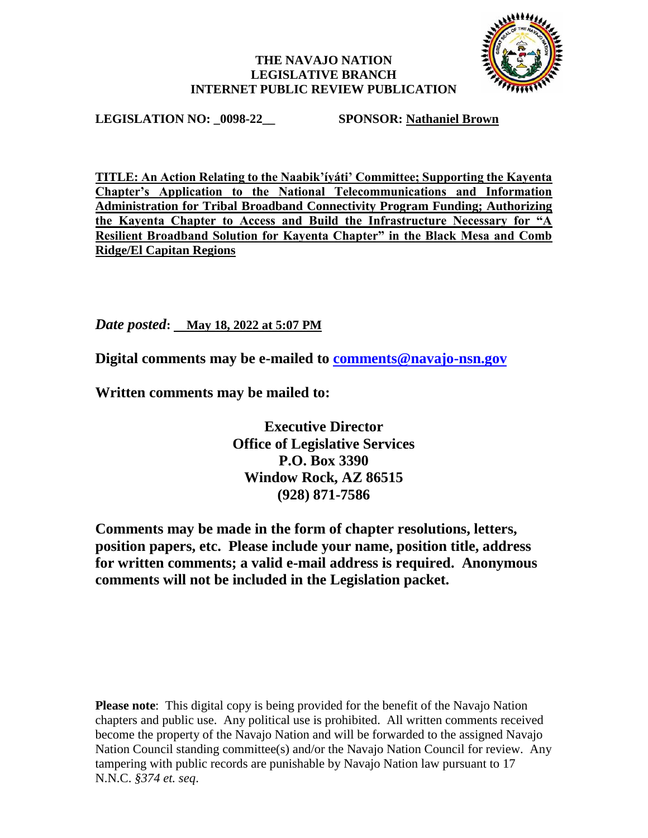## **THE NAVAJO NATION LEGISLATIVE BRANCH INTERNET PUBLIC REVIEW PUBLICATION**



**LEGISLATION NO: \_0098-22\_\_ SPONSOR: Nathaniel Brown**

**TITLE: An Action Relating to the Naabik'íyáti' Committee; Supporting the Kayenta Chapter's Application to the National Telecommunications and Information Administration for Tribal Broadband Connectivity Program Funding; Authorizing the Kayenta Chapter to Access and Build the Infrastructure Necessary for "A Resilient Broadband Solution for Kayenta Chapter" in the Black Mesa and Comb Ridge/El Capitan Regions**

*Date posted***: May 18, 2022 at 5:07 PM**

**Digital comments may be e-mailed to [comments@navajo-nsn.gov](mailto:comments@navajo-nsn.gov?subject=0098-22)**

**Written comments may be mailed to:**

**Executive Director Office of Legislative Services P.O. Box 3390 Window Rock, AZ 86515 (928) 871-7586**

**Comments may be made in the form of chapter resolutions, letters, position papers, etc. Please include your name, position title, address for written comments; a valid e-mail address is required. Anonymous comments will not be included in the Legislation packet.**

**Please note**: This digital copy is being provided for the benefit of the Navajo Nation chapters and public use. Any political use is prohibited. All written comments received become the property of the Navajo Nation and will be forwarded to the assigned Navajo Nation Council standing committee(s) and/or the Navajo Nation Council for review. Any tampering with public records are punishable by Navajo Nation law pursuant to 17 N.N.C. *§374 et. seq*.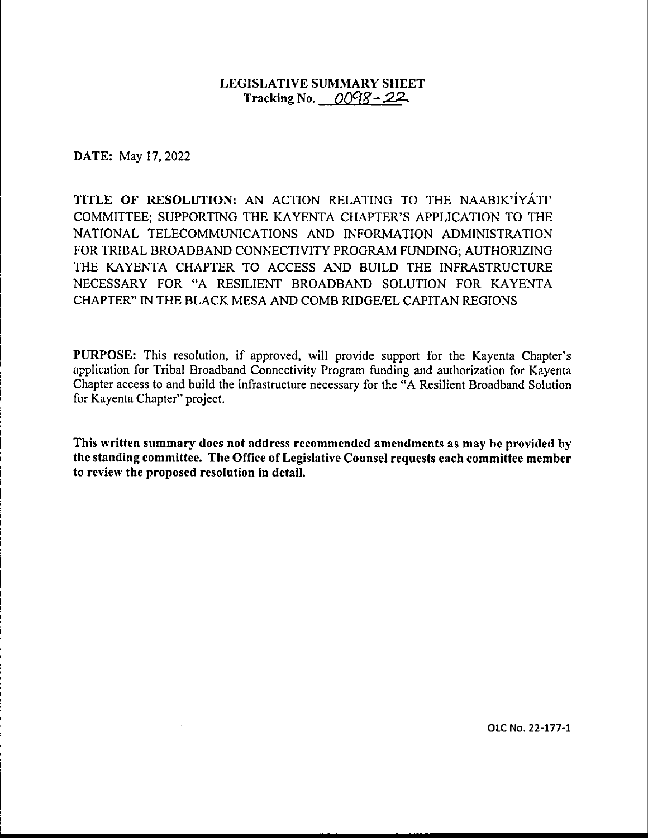## LEGISLATIVE SUMMARY SHEET Tracking No.  $0098 - 22$ .

**DATE:** May 17, 2022

**TITLE OF RESOLUTION:** AN ACTION RELATING TO THE NAABIK'IYATI' COMMITTEE; SUPPORTING THE KAYENTA CHAPTER'S APPLICATION TO THE NATIONAL TELECOMMUNICATIONS AND INFORMATION ADMINISTRATION FOR TRIBAL BROADBAND CONNECTIVITY PROGRAM FUNDING; AUTHORIZING THE KAYENTA CHAPTER TO ACCESS AND BUILD THE INFRASTRUCTURE NECESSARY FOR "A RESILIENT BROADBAND SOLUTION FOR KAYENTA CHAPTER" IN THE BLACK MESA AND COMB RIDGE/EL CAPITAN REGIONS

**PURPOSE:** This resolution, if approved, will provide support for the Kayenta Chapter's application for Tribal Broadband Connectivity Program funding and authorization for Kayenta Chapter access to and build the infrastructure necessary for the "A Resilient Broadband Solution for Kayenta Chapter" project.

**This written summary does not address recommended amendments as may be provided by the standing committee. The Office of Legislative Counsel requests each committee member to review the proposed resolution in detail.** 

OLC No. 22-177-1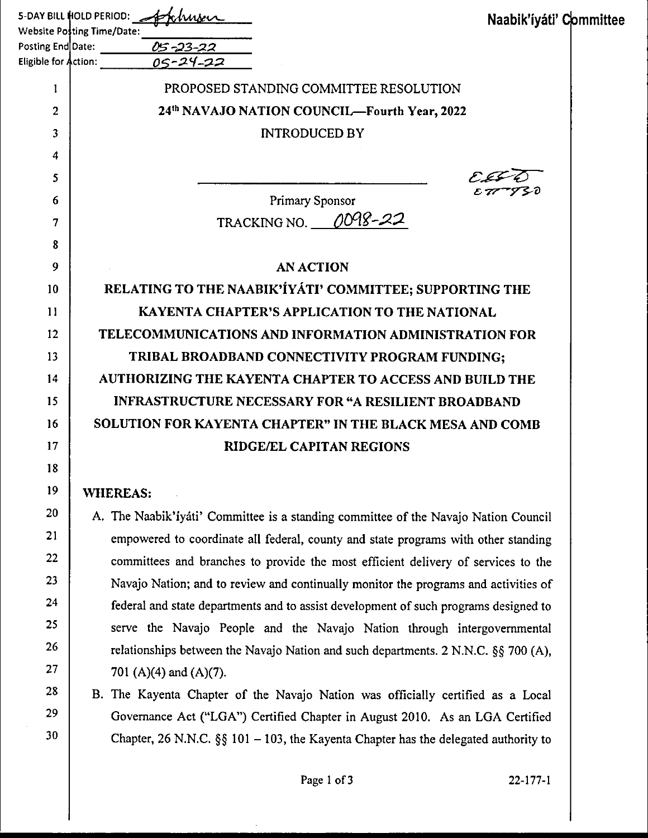|                      | 5-DAY BILL HOLD PERIOD: And Krau<br>Naabik'íyáti' Committee<br>Website Posting Time/Date: The Control of the Website Posting Time/Date: |  |
|----------------------|-----------------------------------------------------------------------------------------------------------------------------------------|--|
|                      | Posting End Date:<br>$05 - 23 - 22$                                                                                                     |  |
| Eligible for Action: | 05-24-22                                                                                                                                |  |
| I                    | PROPOSED STANDING COMMITTEE RESOLUTION                                                                                                  |  |
| 2                    | 24th NAVAJO NATION COUNCIL—Fourth Year, 2022                                                                                            |  |
| 3                    | <b>INTRODUCED BY</b>                                                                                                                    |  |
| 4                    |                                                                                                                                         |  |
| 5                    |                                                                                                                                         |  |
| 6                    | Primary Sponsor                                                                                                                         |  |
| 7                    | TRACKING NO. 0098-22                                                                                                                    |  |
| 8                    |                                                                                                                                         |  |
| 9                    | <b>AN ACTION</b>                                                                                                                        |  |
| 10                   | RELATING TO THE NAABIK'IYATI' COMMITTEE; SUPPORTING THE                                                                                 |  |
| 11                   | <b>KAYENTA CHAPTER'S APPLICATION TO THE NATIONAL</b>                                                                                    |  |
| 12                   | TELECOMMUNICATIONS AND INFORMATION ADMINISTRATION FOR                                                                                   |  |
| 13                   | TRIBAL BROADBAND CONNECTIVITY PROGRAM FUNDING;                                                                                          |  |
| 14                   | AUTHORIZING THE KAYENTA CHAPTER TO ACCESS AND BUILD THE                                                                                 |  |
| 15                   | <b>INFRASTRUCTURE NECESSARY FOR "A RESILIENT BROADBAND</b>                                                                              |  |
| 16                   | SOLUTION FOR KAYENTA CHAPTER" IN THE BLACK MESA AND COMB                                                                                |  |
| 17                   | <b>RIDGE/EL CAPITAN REGIONS</b>                                                                                                         |  |
| 18                   |                                                                                                                                         |  |
| 19                   | <b>WHEREAS:</b>                                                                                                                         |  |
| 20                   | A. The Naabik'iyáti' Committee is a standing committee of the Navajo Nation Council                                                     |  |
| 21                   | empowered to coordinate all federal, county and state programs with other standing                                                      |  |
| 22                   | committees and branches to provide the most efficient delivery of services to the                                                       |  |
| 23                   | Navajo Nation; and to review and continually monitor the programs and activities of                                                     |  |
| 24                   | federal and state departments and to assist development of such programs designed to                                                    |  |
| 25                   | serve the Navajo People and the Navajo Nation through intergovernmental                                                                 |  |
| 26                   | relationships between the Navajo Nation and such departments. 2 N.N.C. §§ 700 (A),                                                      |  |
| 27                   | 701 (A)(4) and (A)(7).                                                                                                                  |  |
| 28                   | B. The Kayenta Chapter of the Navajo Nation was officially certified as a Local                                                         |  |
| 29                   | Governance Act ("LGA") Certified Chapter in August 2010. As an LGA Certified                                                            |  |
| 30                   | Chapter, 26 N.N.C. $\S$ 101 – 103, the Kayenta Chapter has the delegated authority to                                                   |  |

 $\bar{\beta}$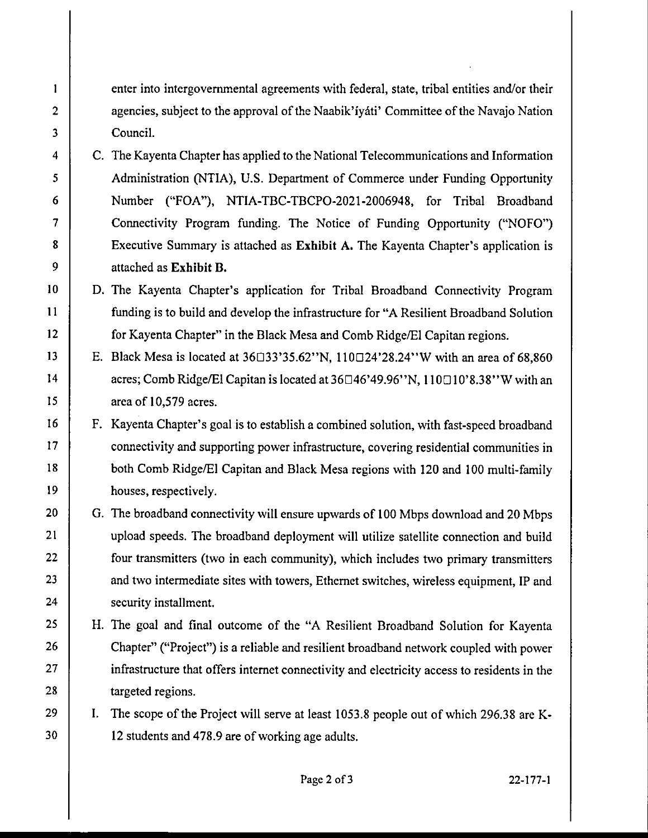enter into intergovernmental agreements with federal, state, tribal entities and/or their agencies, subject to the approval of the Naabik'iyati' Committee of the Navajo Nation Council.

2

 $\mathbf{1}$ 

3

4

5

6

7

8

9

10

11

12

13

14

15

16

17

18

19

20

21

22

23

24

25

26

27

28

29

30

C. The Kayenta Chapter has applied to the National Telecommunications and Information Administration (NTIA), U.S. Department of Commerce under Funding Opportunity Number ("FOA"), NTIA-TBC-TBCPO-2021-2006948, for Tribal Broadband Connectivity Program funding. The Notice of Funding Opportunity ("NOFO") Executive Summary is attached as **Exhibit A.** The Kayenta Chapter's application is attached as **Exhibit B.** 

D. The Kayenta Chapter's application for Tribal Broadband Connectivity Program funding is to build and develop the infrastructure for "A Resilient Broadband Solution for Kayenta Chapter" in the Black Mesa and Comb Ridge/El Capitan regions.

- E. Black Mesa is located at  $36\Box 33'35.62''N$ ,  $110\Box 24'28.24''W$  with an area of 68,860 acres; Comb Ridge/El Capitan is located at 36□46'49.96''N, 110□10'8.38''W with an area of 10,579 acres.
- F. Kayenta Chapter's goal is to establish a combined solution, with fast-speed broadband connectivity and supporting power infrastructure, covering residential communities in both Comb Ridge/El Capitan and Black Mesa regions with 120 and 100 multi-family houses, respectively.
- G. The broadband connectivity will ensure upwards of 100 Mbps download and 20 Mbps upload speeds. The broadband deployment will utilize satellite connection and build four transmitters (two in each community), which includes two primary transmitters and two intermediate sites with towers, Ethernet switches, wireless equipment, IP and security installment.
- H. The goal and final outcome of the "A Resilient Broadband Solution for Kayenta Chapter" ("Project") is a reliable and resilient broadband network coupled with power infrastructure that offers internet connectivity and electricity access to residents in the targeted regions.

I. The scope of the Project will serve at least 1053.8 people out of which 296.38 are **K-**12 students and 478.9 are of working age adults.